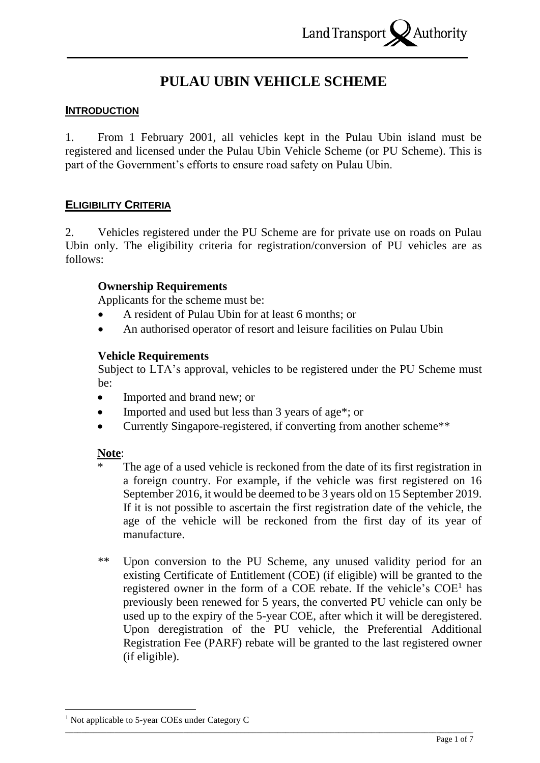# **PULAU UBIN VEHICLE SCHEME**

# **INTRODUCTION**

1. From 1 February 2001, all vehicles kept in the Pulau Ubin island must be registered and licensed under the Pulau Ubin Vehicle Scheme (or PU Scheme). This is part of the Government's efforts to ensure road safety on Pulau Ubin.

# **ELIGIBILITY CRITERIA**

2. Vehicles registered under the PU Scheme are for private use on roads on Pulau Ubin only. The eligibility criteria for registration/conversion of PU vehicles are as follows:

### **Ownership Requirements**

Applicants for the scheme must be:

- A resident of Pulau Ubin for at least 6 months; or
- An authorised operator of resort and leisure facilities on Pulau Ubin

### **Vehicle Requirements**

Subject to LTA's approval, vehicles to be registered under the PU Scheme must be:

- Imported and brand new; or
- Imported and used but less than 3 years of age<sup>\*</sup>; or
- Currently Singapore-registered, if converting from another scheme\*\*

#### **Note**:

- The age of a used vehicle is reckoned from the date of its first registration in a foreign country. For example, if the vehicle was first registered on 16 September 2016, it would be deemed to be 3 years old on 15 September 2019. If it is not possible to ascertain the first registration date of the vehicle, the age of the vehicle will be reckoned from the first day of its year of manufacture.
- \*\* Upon conversion to the PU Scheme, any unused validity period for an existing Certificate of Entitlement (COE) (if eligible) will be granted to the registered owner in the form of a COE rebate. If the vehicle's  $COE<sup>1</sup>$  has previously been renewed for 5 years, the converted PU vehicle can only be used up to the expiry of the 5-year COE, after which it will be deregistered. Upon deregistration of the PU vehicle, the Preferential Additional Registration Fee (PARF) rebate will be granted to the last registered owner (if eligible).

\_\_\_\_\_\_\_\_\_\_\_\_\_\_\_\_\_\_\_\_\_\_\_\_\_\_\_\_\_\_\_\_\_\_\_\_\_\_\_\_\_\_\_\_\_\_\_\_\_\_\_\_\_\_\_\_\_\_\_\_\_\_\_\_\_\_\_\_\_\_\_\_\_\_\_\_\_\_\_\_\_\_\_\_\_\_\_\_\_\_\_\_\_\_\_\_\_\_\_\_ <sup>1</sup> Not applicable to 5-year COEs under Category C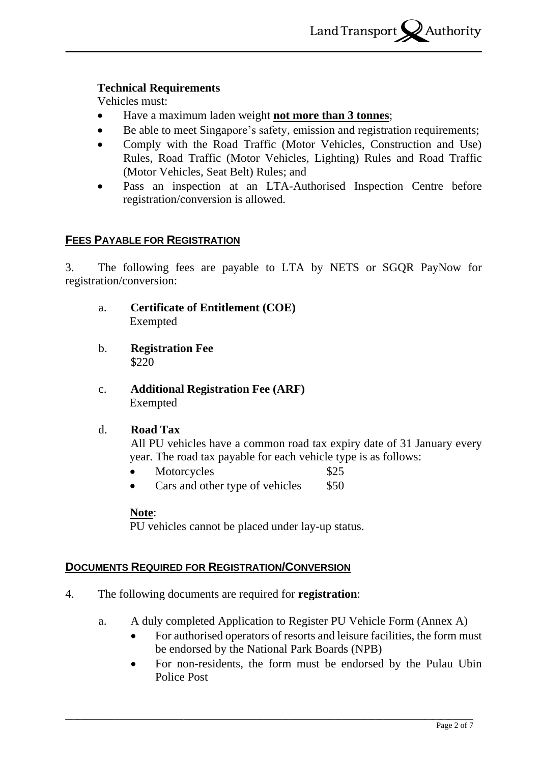## **Technical Requirements**

Vehicles must:

- Have a maximum laden weight **not more than 3 tonnes**;
- Be able to meet Singapore's safety, emission and registration requirements;
- Comply with the Road Traffic (Motor Vehicles, Construction and Use) Rules, Road Traffic (Motor Vehicles, Lighting) Rules and Road Traffic (Motor Vehicles, Seat Belt) Rules; and
- Pass an inspection at an LTA-Authorised Inspection Centre before registration/conversion is allowed.

# **FEES PAYABLE FOR REGISTRATION**

3. The following fees are payable to LTA by NETS or SGQR PayNow for registration/conversion:

- a. **Certificate of Entitlement (COE)** Exempted
- b. **Registration Fee** \$220
- c. **Additional Registration Fee (ARF)** Exempted

#### d. **Road Tax**

All PU vehicles have a common road tax expiry date of 31 January every year. The road tax payable for each vehicle type is as follows:

- Motorcycles \$25
- Cars and other type of vehicles \$50

#### **Note**:

PU vehicles cannot be placed under lay-up status.

# **DOCUMENTS REQUIRED FOR REGISTRATION/CONVERSION**

- 4. The following documents are required for **registration**:
	- a. A duly completed Application to Register PU Vehicle Form (Annex A)

- For authorised operators of resorts and leisure facilities, the form must be endorsed by the National Park Boards (NPB)
- For non-residents, the form must be endorsed by the Pulau Ubin Police Post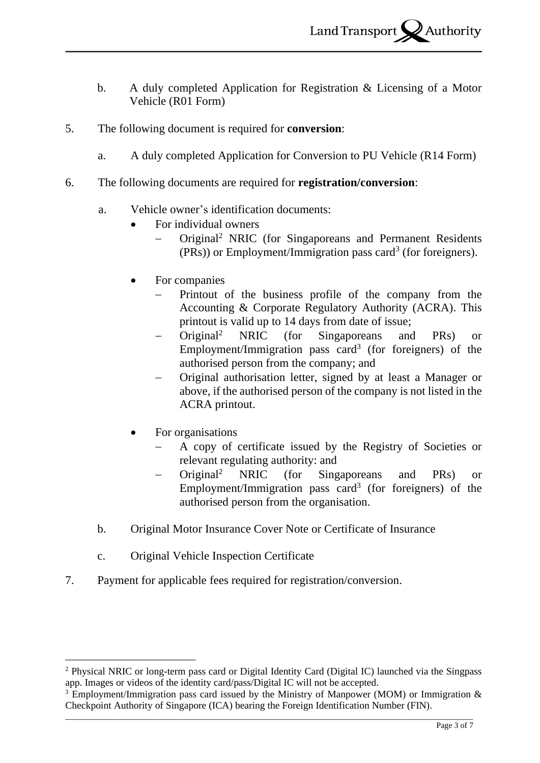- b. A duly completed Application for Registration & Licensing of a Motor Vehicle (R01 Form)
- 5. The following document is required for **conversion**:
	- a. A duly completed Application for Conversion to PU Vehicle (R14 Form)
- 6. The following documents are required for **registration/conversion**:
	- a. Vehicle owner's identification documents:
		- For individual owners
			- Original<sup>2</sup> NRIC (for Singaporeans and Permanent Residents (PRs)) or Employment/Immigration pass card<sup>3</sup> (for foreigners).
		- For companies
			- Printout of the business profile of the company from the Accounting & Corporate Regulatory Authority (ACRA). This printout is valid up to 14 days from date of issue;
			- − Original<sup>2</sup> NRIC (for Singaporeans and PRs) or Employment/Immigration pass card<sup>3</sup> (for foreigners) of the authorised person from the company; and
			- − Original authorisation letter, signed by at least a Manager or above, if the authorised person of the company is not listed in the ACRA printout.
		- For organisations
			- − A copy of certificate issued by the Registry of Societies or relevant regulating authority: and
			- − Original<sup>2</sup> NRIC (for Singaporeans and PRs) or Employment/Immigration pass card<sup>3</sup> (for foreigners) of the authorised person from the organisation.
	- b. Original Motor Insurance Cover Note or Certificate of Insurance
	- c. Original Vehicle Inspection Certificate
- 7. Payment for applicable fees required for registration/conversion.

<sup>2</sup> Physical NRIC or long-term pass card or Digital Identity Card (Digital IC) launched via the Singpass app. Images or videos of the identity card/pass/Digital IC will not be accepted.

<sup>&</sup>lt;sup>3</sup> Employment/Immigration pass card issued by the Ministry of Manpower (MOM) or Immigration  $\&$ Checkpoint Authority of Singapore (ICA) bearing the Foreign Identification Number (FIN).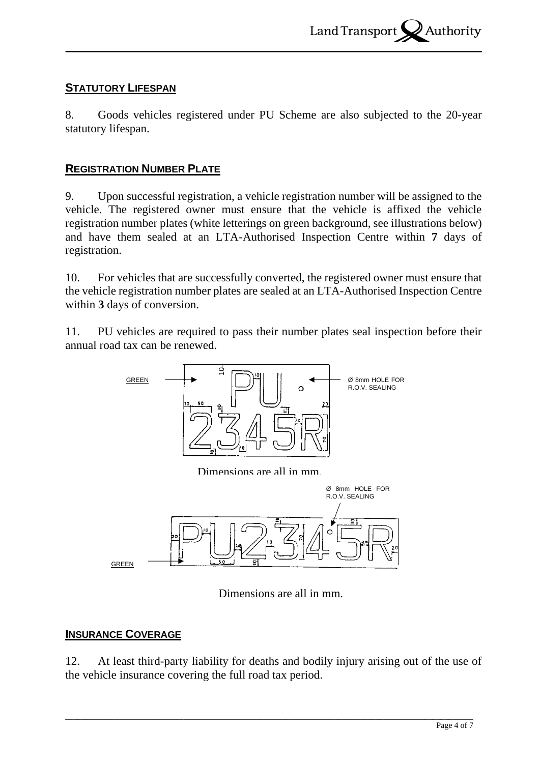# **STATUTORY LIFESPAN**

8. Goods vehicles registered under PU Scheme are also subjected to the 20-year statutory lifespan.

# **REGISTRATION NUMBER PLATE**

9. Upon successful registration, a vehicle registration number will be assigned to the vehicle. The registered owner must ensure that the vehicle is affixed the vehicle registration number plates (white letterings on green background, see illustrations below) and have them sealed at an LTA-Authorised Inspection Centre within **7** days of registration.

10. For vehicles that are successfully converted, the registered owner must ensure that the vehicle registration number plates are sealed at an LTA-Authorised Inspection Centre within **3** days of conversion.

11. PU vehicles are required to pass their number plates seal inspection before their annual road tax can be renewed.



Dimensions are all in mm.

#### **INSURANCE COVERAGE**

12. At least third-party liability for deaths and bodily injury arising out of the use of the vehicle insurance covering the full road tax period.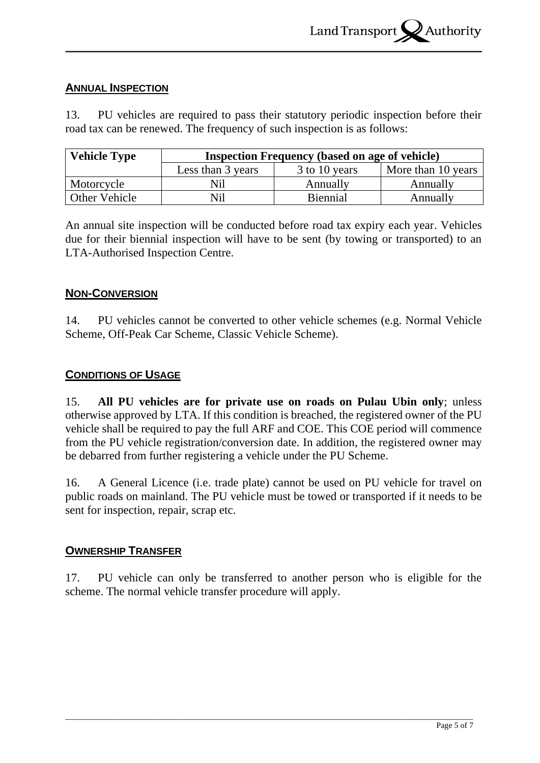## **ANNUAL INSPECTION**

13. PU vehicles are required to pass their statutory periodic inspection before their road tax can be renewed. The frequency of such inspection is as follows:

| <b>Vehicle Type</b>  | <b>Inspection Frequency (based on age of vehicle)</b> |                 |                    |  |  |  |  |  |  |
|----------------------|-------------------------------------------------------|-----------------|--------------------|--|--|--|--|--|--|
|                      | Less than 3 years                                     | 3 to 10 years   | More than 10 years |  |  |  |  |  |  |
| Motorcycle           | Nil                                                   | Annually        | Annually           |  |  |  |  |  |  |
| <b>Other Vehicle</b> | Nil                                                   | <b>Biennial</b> | Annually           |  |  |  |  |  |  |

An annual site inspection will be conducted before road tax expiry each year. Vehicles due for their biennial inspection will have to be sent (by towing or transported) to an LTA-Authorised Inspection Centre.

# **NON-CONVERSION**

14. PU vehicles cannot be converted to other vehicle schemes (e.g. Normal Vehicle Scheme, Off-Peak Car Scheme, Classic Vehicle Scheme).

### **CONDITIONS OF USAGE**

15. **All PU vehicles are for private use on roads on Pulau Ubin only**; unless otherwise approved by LTA. If this condition is breached, the registered owner of the PU vehicle shall be required to pay the full ARF and COE. This COE period will commence from the PU vehicle registration/conversion date. In addition, the registered owner may be debarred from further registering a vehicle under the PU Scheme.

16. A General Licence (i.e. trade plate) cannot be used on PU vehicle for travel on public roads on mainland. The PU vehicle must be towed or transported if it needs to be sent for inspection, repair, scrap etc.

#### **OWNERSHIP TRANSFER**

17. PU vehicle can only be transferred to another person who is eligible for the scheme. The normal vehicle transfer procedure will apply.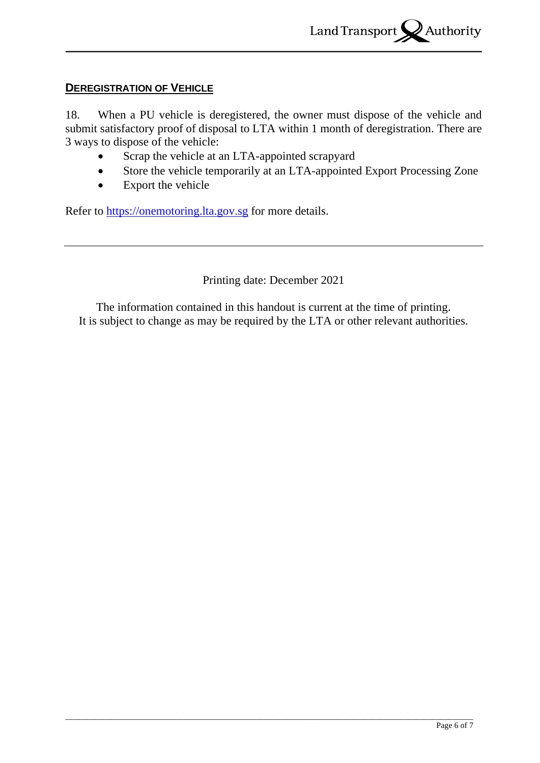# **DEREGISTRATION OF VEHICLE**

18. When a PU vehicle is deregistered, the owner must dispose of the vehicle and submit satisfactory proof of disposal to LTA within 1 month of deregistration. There are 3 ways to dispose of the vehicle:

- Scrap the vehicle at an LTA-appointed scrapyard
- Store the vehicle temporarily at an LTA-appointed Export Processing Zone
- Export the vehicle

Refer to [https://onemotoring.lta.gov.sg](https://onemotoring.lta.gov.sg/) for more details.

Printing date: December 2021

The information contained in this handout is current at the time of printing. It is subject to change as may be required by the LTA or other relevant authorities.